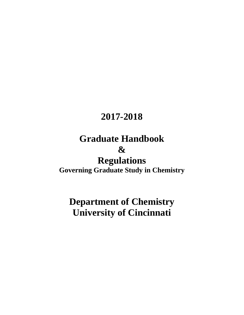# **2017-2018**

# **Graduate Handbook &**

# **Regulations**

**Governing Graduate Study in Chemistry**

# **Department of Chemistry University of Cincinnati**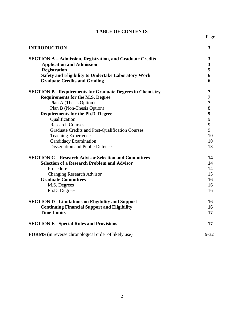#### **TABLE OF CONTENTS**

| × |
|---|
|---|

| <b>INTRODUCTION</b>                                               | 3                       |
|-------------------------------------------------------------------|-------------------------|
| <b>SECTION A - Admission, Registration, and Graduate Credits</b>  | 3                       |
| <b>Application and Admission</b>                                  | $\overline{\mathbf{3}}$ |
| <b>Registration</b>                                               | 5                       |
| <b>Safety and Eligibility to Undertake Laboratory Work</b>        | 6                       |
| <b>Graduate Credits and Grading</b>                               | 6                       |
| <b>SECTION B - Requirements for Graduate Degrees in Chemistry</b> | 7                       |
| <b>Requirements for the M.S. Degree</b>                           | 7                       |
| Plan A (Thesis Option)                                            | 7                       |
| Plan B (Non-Thesis Option)                                        | 8                       |
| <b>Requirements for the Ph.D. Degree</b>                          | 9                       |
| Qualification                                                     | 9                       |
| <b>Research Courses</b>                                           | 9                       |
| Graduate Credits and Post-Qualification Courses                   | 9                       |
| <b>Teaching Experience</b>                                        | 10                      |
| Candidacy Examination                                             | 10                      |
| <b>Dissertation and Public Defense</b>                            | 13                      |
| <b>SECTION C - Research Advisor Selection and Committees</b>      | 14                      |
| <b>Selection of a Research Problem and Advisor</b>                | 14                      |
| Procedure                                                         | 14                      |
| <b>Changing Research Advisor</b>                                  | 15                      |
| <b>Graduate Committees</b>                                        | 16                      |
| M.S. Degrees                                                      | 16                      |
| Ph.D. Degrees                                                     | 16                      |
| <b>SECTION D - Limitations on Eligibility and Support</b>         | 16                      |
| <b>Continuing Financial Support and Eligibility</b>               | 16                      |
| <b>Time Limits</b>                                                | 17                      |
| <b>SECTION E - Special Rules and Provisions</b>                   | 17                      |
| <b>FORMS</b> (in reverse chronological order of likely use)       | 19-32                   |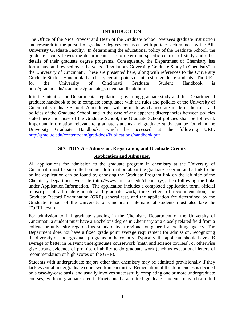#### **INTRODUCTION**

The Office of the Vice Provost and Dean of the Graduate School oversees graduate instruction and research in the pursuit of graduate degrees consistent with policies determined by the All-University Graduate Faculty. In determining the educational policy of the Graduate School, the graduate faculty leaves the departments free to determine specific courses of study and other details of their graduate degree programs. Consequently, the Department of Chemistry has formulated and revised over the years "Regulations Governing Graduate Study in Chemistry" at the University of Cincinnati. These are presented here, along with references to the University Graduate Student Handbook that clarify certain points of interest to graduate students. The URL for the University of Cincinnati Graduate Student Handbook is http://grad.uc.edu/academics/graduate\_studenthandbook.html.

It is the intent of the Departmental regulations governing graduate study and this Departmental graduate handbook to be in complete compliance with the rules and policies of the University of Cincinnati Graduate School. Amendments will be made as changes are made in the rules and policies of the Graduate School, and in the case of any apparent discrepancies between policies stated here and those of the Graduate School, the Graduate School policies shall be followed. Important information relevant to graduate students and graduate study can be found in the University Graduate Handbook, which be accessed at the following URL: [http://grad.uc.edu/content/dam/grad/docs/Publications/handbook.pdf.](http://grad.uc.edu/content/dam/grad/docs/Publications/handbook.pdf)

#### **SECTION A – Admission, Registration, and Graduate Credits**

#### **Application and Admission**

All applications for admission to the graduate program in chemistry at the University of Cincinnati must be submitted online. Information about the graduate program and a link to the online application can be found by choosing the Graduate Program link on the left side of the Chemistry Department web site (http://www.artsci.uc.edu/chemistry/), then following the links under Application Information. The application includes a completed application form, official transcripts of all undergraduate and graduate work, three letters of recommendation, the Graduate Record Examination (GRE) general test, and the application fee determined by the Graduate School of the University of Cincinnati. International students must also take the TOEFL exam.

For admission to full graduate standing in the Chemistry Department of the University of Cincinnati, a student must have a Bachelor's degree in Chemistry or a closely related field from a college or university regarded as standard by a regional or general accrediting agency. The Department does not have a fixed grade point average requirement for admission, recognizing the diversity of undergraduate programs in the country. Typically, the applicant should have a B average or better in relevant undergraduate coursework (math and science courses), or otherwise give strong evidence of promise of ability to do graduate work (such as exceptional letters of recommendation or high scores on the GRE).

Students with undergraduate majors other than chemistry may be admitted provisionally if they lack essential undergraduate coursework in chemistry. Remediation of the deficiencies is decided on a case-by-case basis, and usually involves successfully completing one or more undergraduate courses, without graduate credit. Provisionally admitted graduate students may obtain full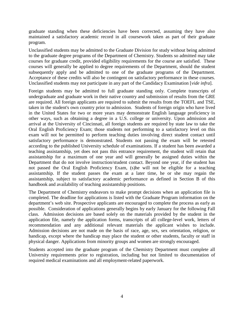graduate standing when these deficiencies have been corrected, assuming they have also maintained a satisfactory academic record in all coursework taken as part of their graduate program.

Unclassified students may be admitted to the Graduate Division for study without being admitted to the graduate degree programs of the Department of Chemistry. Students so admitted may take courses for graduate credit, provided eligibility requirements for the course are satisfied. These courses will generally be applied to degree requirements of the Department, should the student subsequently apply and be admitted to one of the graduate programs of the Department. Acceptance of these credits will also be contingent on satisfactory performance in these courses. Unclassified students may not participate in any part of the Candidacy Examination [*vide infra*].

Foreign students may be admitted to full graduate standing only. Complete transcripts of undergraduate and graduate work in their native country and submission of results from the GRE are required. All foreign applicants are required to submit the results from the TOEFL and TSE, taken in the student's own country prior to admission. Students of foreign origin who have lived in the United States for two or more years may demonstrate English language proficiency in other ways, such as obtaining a degree in a U.S. college or university. Upon admission and arrival at the University of Cincinnati, all foreign students are required by state law to take the Oral English Proficiency Exam; those students not performing to a satisfactory level on this exam will not be permitted to perform teaching duties involving direct student contact until satisfactory performance is demonstrated. Students not passing the exam will be retested according to the published University schedule of examinations. If a student has been awarded a teaching assistantship, yet does not pass this entrance requirement, the student will retain that assistantship for a maximum of one year and will generally be assigned duties within the Department that do not involve instruction/student contact. Beyond one year, if the student has not passed the Oral English Proficiency Exam, (s)he will not be eligible for a teaching assistantship. If the student passes the exam at a later time, he or she may regain the assistantship, subject to satisfactory academic performance as defined in Section B of this handbook and availability of teaching assistantship positions.

The Department of Chemistry endeavors to make prompt decisions when an application file is completed. The deadline for applications is listed with the Graduate Program information on the department's web site. Prospective applicants are encouraged to complete the process as early as possible. Consideration of applications generally begins by early January for the following Fall class. Admission decisions are based solely on the materials provided by the student in the application file, namely the application forms, transcripts of all college-level work, letters of recommendation and any additional relevant materials the applicant wishes to include. Admission decisions are not made on the basis of race, age, sex, sex orientation, religion, or handicap, except where the handicap may place the student or other students, faculty or staff in physical danger. Applications from minority groups and women are strongly encouraged.

Students accepted into the graduate program of the Chemistry Department must complete all University requirements prior to registration, including but not limited to documentation of required medical examinations and all employment-related paperwork.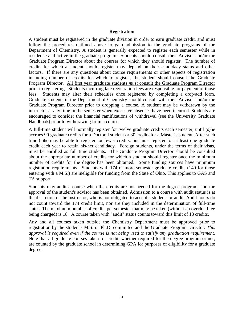#### **Registration**

A student must be registered in the graduate division in order to earn graduate credit, and must follow the procedures outlined above to gain admission to the graduate programs of the Department of Chemistry. A student is generally expected to register each semester while in residence and active in the graduate program. Students should consult their Advisor and/or the Graduate Program Director about the courses for which they should register. The number of credits for which a student should register may depend on their candidacy status and other factors. If there are any questions about course requirements or other aspects of registration including number of credits for which to register, the student should consult the Graduate Program Director. All first year graduate students *must* consult the Graduate Program Director prior to registering. Students incurring late registration fees are responsible for payment of those fees. Students may alter their schedules once registered by completing a drop/add form. Graduate students in the Department of Chemistry should consult with their Advisor and/or the Graduate Program Director prior to dropping a course. A student may be withdrawn by the instructor at any time in the semester when excessive absences have been incurred. Students are encouraged to consider the financial ramifications of withdrawal (see the University Graduate Handbook) prior to withdrawing from a course.

A full-time student will normally register for twelve graduate credits each semester, until (s)he accrues 90 graduate credits for a Doctoral student or 30 credits for a Master's student. After such time (s)he may be able to register for fewer credits, but must register for at least one graduate credit each year to retain his/her candidacy. Foreign students, under the terms of their visas, must be enrolled as full time students. The Graduate Program Director should be consulted about the appropriate number of credits for which a student should register once the minimum number of credits for the degree has been obtained. Some funding sources have minimum registration requirements. Students with 174 or more semester graduate credits (140 for those entering with a M.S.) are ineligible for funding from the State of Ohio. This applies to GAS and TA support.

Students may audit a course when the credits are not needed for the degree program, and the approval of the student's advisor has been obtained. Admission to a course with audit status is at the discretion of the instructor, who is not obligated to accept a student for audit. Audit hours do not count toward the 174 credit limit, nor are they included in the determination of full-time status. The maximum number of credits per semester that may be taken (without an overload fee being charged) is 18. A course taken with "audit" status counts toward this limit of 18 credits.

Any and all courses taken outside the Chemistry Department must be approved prior to registration by the student's M.S. or Ph.D. committee and the Graduate Program Director. *This approval is required even if the course is not being used to satisfy any graduation requirement.* Note that all graduate courses taken for credit, whether required for the degree program or not, are counted by the graduate school in determining GPA for purposes of eligibility for a graduate degree.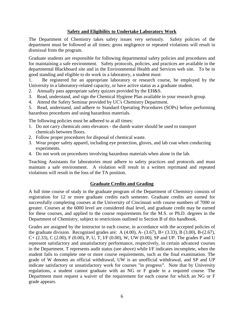#### **Safety and Eligibility to Undertake Laboratory Work**

The Department of Chemistry takes safety issues very seriously. Safety policies of the department must be followed at all times; gross negligence or repeated violations will result in dismissal from the program.

Graduate students are responsible for following departmental safety policies and procedures and for maintaining a safe environment. Safety protocols, policies, and practices are available in the departmental Blackboard site and in the Environmental Health and Services web site. To be in good standing and eligible to do work in a laboratory, a student must:

1. Be registered for an appropriate laboratory or research course, be employed by the University in a laboratory-related capacity, or have active status as a graduate student.

- 2. Annually pass appropriate safety quizzes provided by the EH&S.
- 3. Read, understand, and sign the Chemical Hygiene Plan available in your research group.
- 4. Attend the Safety Seminar provided by UC's Chemistry Department.

5. Read, understand, and adhere to Standard Operating Procedures (SOPs) before performing hazardous procedures and using hazardous materials.

The following policies must be adhered to at all times:

- 1. Do not carry chemicals onto elevators the dumb waiter should be used to transport chemicals between floors.
- 2. Follow proper procedures for disposal of chemical waste.
- 3. Wear proper safety apparel, including eye protection, gloves, and lab coat when conducting experiments.
- 4. Do not work on procedures involving hazardous materials when alone in the lab.

Teaching Assistants for laboratories must adhere to safety practices and protocols and must maintain a safe environment. A violation will result in a written reprimand and repeated violations will result in the loss of the TA position.

#### **Graduate Credits and Grading**

A full time course of study in the graduate program of the Department of Chemistry consists of registration for 12 or more graduate credits each semester. Graduate credits are earned for successfully completing courses at the University of Cincinnati with course numbers of 7000 or greater. Courses at the 6000 level are considered dual level, and graduate credit may be earned for these courses, and applied to the course requirements for the M.S. or Ph.D. degrees in the Department of Chemistry, subject to restrictions outlined in Section B of this handbook.

Grades are assigned by the instructor in each course, in accordance with the accepted policies of the graduate division. Recognized grades are: A  $(4.00)$ , A $- (3.67)$ , B $+ (3.33)$ , B $(3.00)$ , B $- (2.67)$ ,  $C+(2.33), C (2.00), F (0.00), P, U, T, I/F (0.00), W, UW (0.00), SP and UP. The grades P and U$ represent satisfactory and unsatisfactory performance, respectively, in certain advanced courses in the Department. T represents audit status (see above) while I/F indicates incomplete, when the student fails to complete one or more course requirements, such as the final examination. The grade of W denotes an official withdrawal, UW is an unofficial withdrawal, and SP and UP indicate satisfactory or unsatisfactory work for courses "in progress". Note that by University regulations, a student cannot graduate with an NG or F grade in a required course. The Department must request a waiver of the requirement for each course for which an NG or F grade appears.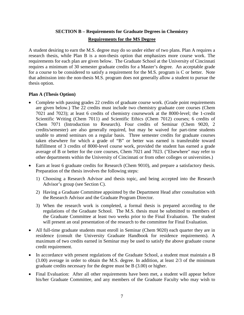#### **SECTION B – Requirements for Graduate Degrees in Chemistry Requirements for the MS Degree**

A student desiring to earn the M.S. degree may do so under either of two plans. Plan A requires a research thesis, while Plan B is a non-thesis option that emphasizes more course work. The requirements for each plan are given below. The Graduate School at the University of Cincinnati requires a minimum of 30 semester graduate credits for a Master's degree. An acceptable grade for a course to be considered to satisfy a requirement for the M.S. program is C or better. Note that admission into the non-thesis M.S. program does not generally allow a student to pursue the thesis option.

#### **Plan A (Thesis Option)**

- Complete with passing grades 22 credits of graduate course work. (Grade point requirements are given below.) The 22 credits must include two chemistry graduate core courses (Chem 7021 and 7023); at least 6 credits of chemistry coursework at the 8000-level; the 1-credit Scientific Writing (Chem 7011) and Scientific Ethics (Chem 7012) courses; 6 credits of Chem 7071 (Introduction to Research). Four credits of Seminar (Chem 9020, 2 credits/semester) are also generally required, but may be waived for part-time students unable to attend seminars on a regular basis. Three semester credits for graduate courses taken elsewhere for which a grade of "B" or better was earned is transferable toward fulfillment of 3 credits of 8000-level course work, provided the student has earned a grade average of B or better for the core courses, Chem 7021 and 7023. ("Elsewhere" may refer to other departments within the University of Cincinnati or from other colleges or universities.)
- Earn at least 6 graduate credits for Research (Chem 9010), and prepare a satisfactory thesis. Preparation of the thesis involves the following steps:
	- 1) Choosing a Research Advisor and thesis topic, and being accepted into the Research Advisor's group (see Section C).
	- 2) Having a Graduate Committee appointed by the Department Head after consultation with the Research Advisor and the Graduate Program Director.
	- 3) When the research work is completed, a formal thesis is prepared according to the regulations of the Graduate School. The M.S. thesis must be submitted to members of the Graduate Committee at least two weeks prior to the Final Evaluation. The student will present an oral presentation of the research to the committee for Final Evaluation.
- All full-time graduate students must enroll in Seminar (Chem 9020) each quarter they are in residence (consult the University Graduate Handbook for residence requirements). A maximum of two credits earned in Seminar may be used to satisfy the above graduate course credit requirement.
- In accordance with present regulations of the Graduate School, a student must maintain a B (3.00) average in order to obtain the M.S. degree. In addition, at least 2/3 of the minimum graduate credits necessary for the degree must be B (3.00) or higher.
- Final Evaluation: After all other requirements have been met, a student will appear before his/her Graduate Committee, and any members of the Graduate Faculty who may wish to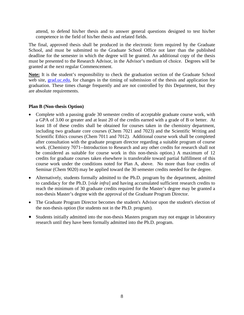attend, to defend his/her thesis and to answer general questions designed to test his/her competence in the field of his/her thesis and related fields.

The final, approved thesis shall be produced in the electronic form required by the Graduate School, and must be submitted to the Graduate School Office not later than the published deadline for the semester in which the degree will be granted. An additional copy of the thesis must be presented to the Research Advisor, in the Advisor's medium of choice. Degrees will be granted at the next regular Commencement.

**Note:** It is the student's responsibility to check the graduation section of the Graduate School web site, [grad.uc.edu,](http://www.grad.uc.edu/) for changes in the timing of submission of the thesis and application for graduation. These times change frequently and are not controlled by this Department, but they are absolute requirements.

#### **Plan B (Non-thesis Option)**

- Complete with a passing grade 30 semester credits of acceptable graduate course work, with a GPA of 3.00 or greater and at least 20 of the credits earned with a grade of B or better. At least 18 of these credits shall be obtained for courses taken in the chemistry department, including two graduate core courses (Chem 7021 and 7023) and the Scientific Writing and Scientific Ethics courses (Chem 7011 and 7012). Additional course work shall be completed after consultation with the graduate program director regarding a suitable program of course work. (Chemistry 7071--Introduction to Research and any other credits for research shall not be considered as suitable for course work in this non-thesis option.) A maximum of 12 credits for graduate courses taken elsewhere is transferable toward partial fulfillment of this course work under the conditions noted for Plan A, above. No more than four credits of Seminar (Chem 9020) may be applied toward the 30 semester credits needed for the degree.
- Alternatively, students formally admitted to the Ph.D. program by the department, admitted to candidacy for the Ph.D. [*vide infra*] and having accumulated sufficient research credits to reach the minimum of 30 graduate credits required for the Master's degree may be granted a non-thesis Master's degree with the approval of the Graduate Program Director.
- The Graduate Program Director becomes the student's Advisor upon the student's election of the non-thesis option (for students not in the Ph.D. program).
- Students initially admitted into the non-thesis Masters program may not engage in laboratory research until they have been formally admitted into the Ph.D. program.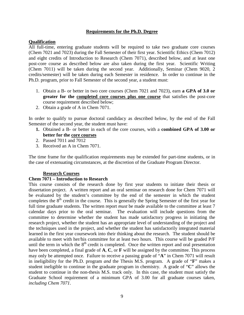#### **Requirements for the Ph.D. Degree**

#### **Qualification**

All full-time, entering graduate students will be required to take two graduate core courses (Chem 7021 and 7023) during the Fall Semester of their first year. Scientific Ethics (Chem 7012) and eight credits of Introduction to Research (Chem 7071), described below, and at least one post-core course as described below are also taken during the first year. Scientific Writing (Chem 7011) will be taken during the second year. Additionally, Seminar (Chem 9020, 2 credits/semester) will be taken during each Semester in residence. In order to continue in the Ph.D. program, prior to Fall Semester of the second year, a student must:

- 1. Obtain a B- or better in two core courses (Chem 7021 and 7023), earn **a GPA of 3.0 or greater for the completed core courses plus one course** that satisfies the post-core course requirement described below;
- 2. Obtain a grade of A in Chem 7071.

In order to qualify to pursue doctoral candidacy as described below, by the end of the Fall Semester of the second year, the student must have:

- **1.** Obtained a B- or better in each of the core courses, with a **combined GPA of 3.00 or better for the core courses**
- 2. Passed 7011 and 7012
- 3. Received an A in Chem 7071.

The time frame for the qualification requirements may be extended for part-time students, or in the case of extenuating circumstances, at the discretion of the Graduate Program Director.

#### **Research Courses**

#### **Chem 7071 – Introduction to Research**

This course consists of the research done by first year students to initiate their thesis or dissertation project. A written report and an oral seminar on research done for Chem 7071 will be evaluated by the student's committee by the end of the semester in which the student completes the  $8<sup>th</sup>$  credit in the course. This is generally the Spring Semester of the first year for full time graduate students. The written report *must* be made available to the committee at least 7 calendar days prior to the oral seminar. The evaluation will include questions from the committee to determine whether the student has made satisfactory progress in initiating the research project, whether the student has an appropriate level of understanding of the project and the techniques used in the project, and whether the student has satisfactorily integrated material learned in the first year coursework into their thinking about the research. The student should be available to meet with her/his committee for at least two hours. This course will be graded P/F until the term in which the  $8<sup>th</sup>$  credit is completed. Once the written report and oral presentation have been completed, a final grade of **A**, **C**, or **F** will be assigned by the committee. This process may only be attempted once. Failure to receive a passing grade of "**A**" in Chem 7071 will result in ineligibility for the Ph.D. program *and* the Thesis M.S. program. A grade of "**F**" makes a student ineligible to continue in the graduate program in chemistry. A grade of "**C**" allows the student to continue in the non-thesis M.S. track only. In this case, the student must satisfy the Graduate School requirement of a minimum GPA of 3.00 for all graduate courses taken, *including Chem 7071*.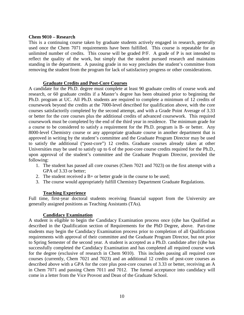#### **Chem 9010 – Research**

This is a continuing course taken by graduate students actively engaged in research, generally used once the Chem 7071 requirements have been fulfilled. This course is repeatable for an unlimited number of credits. This course will be graded P/F. A grade of P is not intended to reflect the quality of the work, but simply that the student pursued research and maintains standing in the department. A passing grade in no way precludes the student's committee from removing the student from the program for lack of satisfactory progress or other considerations.

#### **Graduate Credits and Post-Core Courses**

A candidate for the Ph.D. degree must complete at least 90 graduate credits of course work and research, or 60 graduate credits if a Master's degree has been obtained prior to beginning the Ph.D. program at UC. All Ph.D. students are required to complete a minimum of 12 credits of coursework beyond the credits at the 7000-level described for qualification above, with the core courses satisfactorily completed by the second attempt, and with a Grade Point Average of 3.33 or better for the core courses plus the additional credits of advanced coursework. This required coursework must be completed by the end of the third year in residence. The minimum grade for a course to be considered to satisfy a requirement for the Ph.D. program is B- or better. Any 8000-level Chemistry course or any appropriate graduate course in another department that is approved in writing by the student's committee and the Graduate Program Director may be used to satisfy the additional ("post-core") 12 credits. Graduate courses already taken at other Universities may be used to satisfy up to 6 of the post-core course credits required for the Ph.D., upon approval of the student's committee and the Graduate Program Director, provided the following:

- 1. The student has passed all core courses (Chem 7021 and 7023) on the first attempt with a GPA of 3.33 or better;
- 2. The student received a  $B+$  or better grade in the course to be used;
- 3. The course would appropriately fulfill Chemistry Department Graduate Regulations.

#### **Teaching Experience**

Full time, first-year doctoral students receiving financial support from the University are generally assigned positions as Teaching Assistants (TAs).

#### **Candidacy Examination**

A student is eligible to begin the Candidacy Examination process once (s)he has Qualified as described in the Qualification section of Requirements for the PhD Degree, above. Part-time students may begin the Candidacy Examination process prior to completion of all Qualification requirements with approval of their committee and the Graduate Program Director, but not prior to Spring Semester of the second year. A student is accepted as a Ph.D. candidate after (s)he has successfully completed the Candidacy Examination and has completed all required course work for the degree (exclusive of research in Chem 9010). This includes passing all required core courses (currently, Chem 7021 and 7023) and an additional 12 credits of post-core courses as described above with a GPA for the core plus post-core courses of 3.33 or better, receiving an A in Chem 7071 and passing Chem 7011 and 7012. The formal acceptance into candidacy will come in a letter from the Vice Provost and Dean of the Graduate School.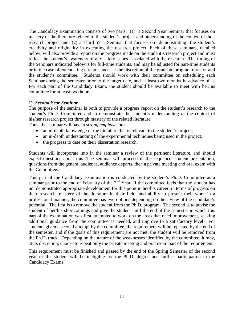The Candidacy Examination consists of two parts: (1) a Second Year Seminar that focuses on mastery of the literature related to the student's project and understanding of the context of their research project and; (2) a Third Year Seminar that focuses on demonstrating the student's creativity and originality in executing the research project. Each of these seminars, detailed below, will also provide a report on the progress made on the student's research project and must reflect the student's awareness of any safety issues associated with the research. The timing of the Seminars indicated below is for full-time students, and may be adjusted for part-time students or in the case of extenuating circumstances at the discretion of the graduate program director and the student's committee. Students should work with their committee on scheduling each Seminar during the semester prior to the target date, and at least two months in advance of it. For each part of the Candidacy Exam, the student should be available to meet with her/his committee for at least two hours.

#### **1)** *Second Year Seminar*

The purpose of the seminar is both to provide a progress report on the student's research to the student's Ph.D. Committee and to demonstrate the student's understanding of the context of his/her research project through mastery of the related literature.

Thus, the seminar will have a *strong emphasis on:*

- an in-depth knowledge of the literature that is relevant to the student's project;
- an in-depth understanding of the experimental techniques being used in the project;
- the progress to date on their dissertation research.

Students will incorporate into in the seminar a review of the pertinent literature, and should expect questions about this. The seminar will proceed in the sequence: student presentation, questions from the general audience, audience departs, then a private meeting and oral exam with the Committee.

This part of the Candidacy Examination is conducted by the student's Ph.D. Committee as a seminar prior to the end of February of the  $2<sup>nd</sup>$  Year. If the committee feels that the student has not demonstrated appropriate development for this point in her/his career, in terms of progress on their research, mastery of the literature in their field, and ability to present their work in a professional manner, the committee has two options depending on their view of the candidate's potential. The first is to remove the student from the Ph.D. program. The second is to advise the student of her/his shortcomings and give the student until the end of the semester in which this part of the examination was first attempted to work on the areas that need improvement, seeking additional guidance from the committee as needed, and improve to a satisfactory level. For students given a second attempt by the committee, the requirement will be repeated by the end of the semester, and if the goals of this requirement are not met, the student will be removed from the Ph.D. track. Depending on the nature of the weaknesses identified by the committee, it may, at its discretion, choose to repeat only the private meeting and oral exam part of the requirement.

This requirement must be finished and passed by the end of the Spring Semester of the second year or the student will be ineligible for the Ph.D. degree and further participation in the Candidacy Exams.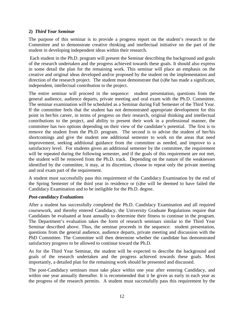#### **2)** *Third Year Seminar*

The purpose of this seminar is to provide a progress report on the student's research to the Committee and to demonstrate creative thinking and intellectual initiative on the part of the student in developing independent ideas within their research.

Each student in the Ph.D. program will present the Seminar describing the background and goals of the research undertaken and the progress achieved towards these goals. It should also express in some detail the plan for the remaining work. This seminar will place an emphasis on the creative and original ideas developed and/or proposed by the student on the implementation and direction of the research project. The student must demonstrate that (s)he has made a significant, independent, intellectual contribution to the project.

The entire seminar will proceed in the sequence: student presentation, questions from the general audience, audience departs, private meeting and oral exam with the Ph.D. Committee. The seminar examination will be scheduled as a Seminar during Fall Semester of the Third Year. If the committee feels that the student has not demonstrated appropriate development for this point in her/his career, in terms of progress on their research, original thinking and intellectual contributions to the project, and ability to present their work in a professional manner, the committee has two options depending on their view of the candidate's potential. The first is to remove the student from the Ph.D. program. The second is to advise the student of her/his shortcomings and give the student one additional semester to work on the areas that need improvement, seeking additional guidance from the committee as needed, and improve to a satisfactory level. For students given an additional semester by the committee, the requirement will be repeated during the following semester, and if the goals of this requirement are not met, the student will be removed from the Ph.D. track. Depending on the nature of the weaknesses identified by the committee, it may, at its discretion, choose to repeat only the private meeting and oral exam part of the requirement.

A student must successfully pass this requirement of the Candidacy Examination by the end of the Spring Semester of the third year in residence or (s)he will be deemed to have failed the Candidacy Examination and to be ineligible for the Ph.D. degree.

#### *Post-candidacy Evaluations*

After a student has successfully completed the Ph.D. Candidacy Examination and all required coursework, and thereby entered Candidacy, the University Graduate Regulations require that Candidates be evaluated at least annually to determine their fitness to continue in the program. The Department's evaluation takes the form of research seminars similar to the Third Year Seminar described above. Thus, the seminar proceeds in the sequence: student presentation, questions from the general audience, audience departs, private meeting and discussion with the PhD Committee. The Committee will then determine whether the candidate has demonstrated satisfactory progress to be allowed to continue toward the Ph.D.

As for the Third Year Seminar, the student will be expected to describe the background and goals of the research undertaken and the progress achieved towards these goals. Most importantly, a detailed plan for the remaining work should be presented and discussed.

The post-Candidacy seminars must take place within one year after entering Candidacy, and within one year annually thereafter. It is recommended that it be given as early in each year as the progress of the research permits. A student must successfully pass this requirement by the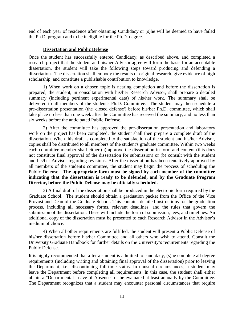end of each year of residence after obtaining Candidacy or (s)he will be deemed to have failed the Ph.D. program and to be ineligible for the Ph.D. degree.

#### **Dissertation and Public Defense**

Once the student has successfully entered Candidacy, as described above, and completed a research project that the student and his/her Advisor agree will form the basis for an acceptable dissertation, the student will take the following steps toward producing and defending a dissertation. The dissertation shall embody the results of original research, give evidence of high scholarship, and constitute a publishable contribution to knowledge.

 1) When work on a chosen topic is nearing completion and before the dissertation is prepared, the student, in consultation with his/her Research Advisor, shall prepare a detailed summary (including pertinent experimental data) of his/her work. The summary shall be delivered to all members of the student's Ph.D. Committee. The student may then schedule a pre-dissertation presentation (the 'closed defense') before his/her Ph.D. committee, which shall take place no less than one week after the Committee has received the summary, and no less than six weeks before the anticipated Public Defense.

2) After the committee has approved the pre-dissertation presentation and laboratory work on the project has been completed, the student shall then prepare a complete draft of the dissertation. When this draft is completed to the satisfaction of the student and his/her Advisor, copies shall be distributed to all members of the student's graduate committee. Within two weeks each committee member shall either (a) approve the dissertation in form and content (this does not constitute final approval of the dissertation for submission) or (b) consult with the student and his/her Advisor regarding revisions. After the dissertation has been tentatively approved by all members of the student's committee, the student may begin the process of scheduling the Public Defense. **The appropriate form must be signed by each member of the committee indicating that the dissertation is ready to be defended, and by the Graduate Program Director, before the Public Defense may be officially scheduled.**

3) A final draft of the dissertation shall be produced in the electronic form required by the Graduate School. The student should obtain a graduation packet from the Office of the Vice Provost and Dean of the Graduate School. This contains detailed instructions for the graduation process, including all necessary forms, relevant deadlines, and the rules that govern the submission of the dissertation. These will include the form of submission, fees, and timelines. An additional copy of the dissertation must be presented to each Research Advisor in the Advisor's medium of choice.

4) When all other requirements are fulfilled, the student will present a Public Defense of his/her dissertation before his/her Committee and all others who wish to attend. Consult the University Graduate Handbook for further details on the University's requirements regarding the Public Defense.

It is highly recommended that after a student is admitted to candidacy, (s)he complete all degree requirements (including writing and obtaining final approval of the dissertation) prior to leaving the Department, i.e., discontinuing full-time status. In unusual circumstances, a student may leave the Department before completing all requirements. In this case, the student shall either obtain a "Departmental Leave of Absence" or be evaluated at least annually by the Committee. The Department recognizes that a student may encounter personal circumstances that require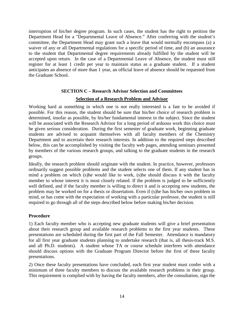interruption of his/her degree program. In such cases, the student has the right to petition the Department Head for a "Departmental Leave of Absence." After conferring with the student's committee, the Department Head may grant such a leave that would normally encompass (a) a waiver of any or all Departmental regulations for a specific period of time, and (b) an assurance to the student that Departmental degree requirements already fulfilled by the student will be accepted upon return. In the case of a Departmental Leave of Absence, the student must still register for at least 1 credit per year to maintain status as a graduate student. If a student anticipates an absence of more than 1 year, an official leave of absence should be requested from the Graduate School.

### **SECTION C – Research Advisor Selection and Committees**

#### **Selection of a Research Problem and Advisor**

Working hard at something in which one is not really interested is a fate to be avoided if possible. For this reason, the student should be sure that his/her choice of research problem is determined, insofar as possible, by his/her fundamental interest in the subject. Since the student will be associated with the Research Advisor for a long period of arduous work this choice must be given serious consideration. During the first semester of graduate work, beginning graduate students are advised to acquaint themselves with all faculty members of the Chemistry Department and to ascertain their research interests. In addition to the required steps described below, this can be accomplished by visiting the faculty web pages, attending seminars presented by members of the various research groups, and talking to the graduate students in the research groups.

Ideally, the research problem should originate with the student. In practice, however, professors ordinarily suggest possible problems and the student selects one of them. If any student has in mind a problem on which (s)he would like to work, (s)he should discuss it with the faculty member to whose interest it is most closely related. If the problem is judged to be sufficiently well defined, and if the faculty member is willing to direct it and is accepting new students, the problem may be worked on for a thesis or dissertation. Even if (s)he has his/her own problem in mind, or has come with the expectation of working with a particular professor, the student is still required to go through all of the steps described below before making his/her decision.

#### **Procedure**

1) Each faculty member who is accepting new graduate students will give a brief presentation about their research group and available research problems to the first year students. These presentations are scheduled during the first part of the Fall Semester. Attendance is mandatory for all first year graduate students planning to undertake research (that is, all thesis-track M.S. and all Ph.D. students). A student whose TA or course schedule interferes with attendance should discuss options with the Graduate Program Director before the first of these faculty presentations.

2) Once these faculty presentations have concluded, each first year student must confer with a minimum of three faculty members to discuss the available research problems in their group. This requirement is complied with by having the faculty members, after the consultation, sign the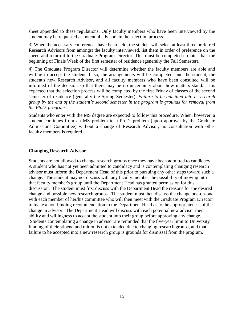sheet appended to these regulations. Only faculty members who have been interviewed by the student may be requested as potential advisors in the selection process.

3) When the necessary conferences have been held, the student will select at least three preferred Research Advisors from amongst the faculty interviewed, list them in order of preference on the sheet, and return it to the Graduate Program Director. This must be completed no later than the beginning of Finals Week of the first semester of residence (generally the Fall Semester).

4) The Graduate Program Director will determine whether the faculty members are able and willing to accept the student. If so, the arrangements will be completed, and the student, the student's new Research Advisor, and all faculty members who have been consulted will be informed of the decision so that there may be no uncertainty about how matters stand. It is expected that the selection process will be completed by the first Friday of classes of the second semester of residence (generally the Spring Semester). *Failure to be admitted into a research group by the end of the student's second semester in the program is grounds for removal from the Ph.D. program.*

Students who enter with the MS degree are expected to follow this procedure. When, however, a student continues from an MS problem to a Ph.D. problem (upon approval by the Graduate Admissions Committee) without a change of Research Advisor, no consultation with other faculty members is required.

#### **Changing Research Advisor**

Students are not allowed to change research groups once they have been admitted to candidacy. A student who has not yet been admitted to candidacy and is contemplating changing research advisor must inform the Department Head of this prior to pursuing any other steps toward such a change. The student may not discuss with any faculty member the possibility of moving into that faculty member's group until the Department Head has granted permission for this discussion. The student must first discuss with the Department Head the reasons for the desired change and possible new research groups. The student must then discuss the change one-on-one with each member of her/his committee who will then meet with the Graduate Program Director to make a non-binding recommendation to the Department Head as to the appropriateness of the change in advisor. The Department Head will discuss with each potential new advisor their ability and willingness to accept the student into their group before approving any change. Students contemplating a change in advisor are reminded that the five-year limit to University funding of their stipend and tuition is not extended due to changing research groups, and that failure to be accepted into a new research group is grounds for dismissal from the program.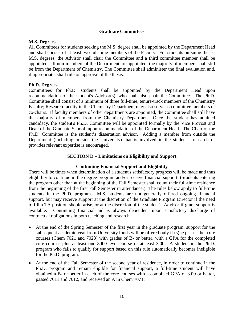#### **Graduate Committees**

#### **M.S. Degrees**

All Committees for students seeking the M.S. degree shall be appointed by the Department Head and shall consist of at least two full-time members of the Faculty. For students pursuing thesis-M.S. degrees, the Advisor shall chair the Committee and a third committee member shall be appointed. If non-members of the Department are appointed, the majority of members shall still be from the Department of Chemistry. The Committee shall administer the final evaluation and, if appropriate, shall rule on approval of the thesis.

#### **Ph.D. Degrees**

Committees for Ph.D. students shall be appointed by the Department Head upon recommendation of the student's Advisor(s), who shall also chair the Committee. The Ph.D. Committee shall consist of a minimum of three full-time, tenure-track members of the Chemistry Faculty; Research faculty in the Chemistry Department may also serve as committee members or co-chairs. If faculty members of other departments are appointed, the Committee shall still have the majority of members from the Chemistry Department. Once the student has attained candidacy, the student's Ph.D. Committee will be appointed formally by the Vice Provost and Dean of the Graduate School, upon recommendation of the Department Head. The Chair of the Ph.D. Committee is the student's dissertation advisor. Adding a member from outside the Department (including outside the University) that is involved in the student's research or provides relevant expertise is encouraged.

#### **SECTION D – Limitations on Eligibility and Support**

#### **Continuing Financial Support and Eligibility**

There will be times when determination of a student's satisfactory progress will be made and thus eligibility to continue in the degree program and/or receive financial support. (Students entering the program other than at the beginning of the Fall Semester shall count their full-time residence from the beginning of the first Fall Semester in attendance.) The rules below apply to full-time students in the Ph.D. program. M.S. students are not generally offered ongoing financial support, but may receive support at the discretion of the Graduate Program Director if the need to fill a TA position should arise, or at the discretion of the student's Advisor if grant support is available. Continuing financial aid is always dependent upon satisfactory discharge of contractual obligations in both teaching and research.

- At the end of the Spring Semester of the first year in the graduate program, support for the subsequent academic year from University funds will be offered only if (s)he passes the core courses (Chem 7021 and 7023) with grades of B- or better, with a GPA for the completed core courses plus at least one 8000-level course of at least 3.00. A student in the Ph.D. program who fails to qualify for support based on this rule automatically becomes ineligible for the Ph.D. program.
- At the end of the Fall Semester of the second year of residence, in order to continue in the Ph.D. program and remain eligible for financial support, a full-time student will have obtained a B- or better in each of the core courses with a combined GPA of 3.00 or better, passed 7011 and 7012, and received an A in Chem 7071.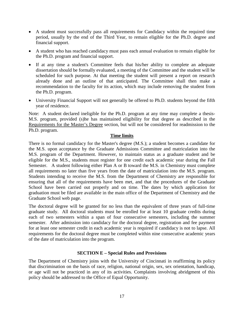- A student must successfully pass all requirements for Candidacy within the required time period, usually by the end of the Third Year, to remain eligible for the Ph.D. degree and financial support.
- A student who has reached candidacy must pass each annual evaluation to remain eligible for the Ph.D. program and financial support.
- If at any time a student's Committee feels that his/her ability to complete an adequate dissertation should be formally evaluated, a meeting of the Committee and the student will be scheduled for such purpose. At that meeting the student will present a report on research already done and an outline of that anticipated. The Committee shall then make a recommendation to the faculty for its action, which may include removing the student from the Ph.D. program.
- University Financial Support will not generally be offered to Ph.D. students beyond the fifth year of residence.

Note: A student declared ineligible for the Ph.D. program at any time may complete a thesis-M.S. program, provided (s)he has maintained eligibility for that degree as described in the Requirements for the Master's Degree section, but will not be considered for readmission to the Ph.D. program.

#### **Time limits**

There is no formal candidacy for the Master's degree (M.S.); a student becomes a candidate for the M.S. upon acceptance by the Graduate Admissions Committee and matriculation into the M.S. program of the Department. However, to maintain status as a graduate student and be eligible for the M.S., students must register for one credit each academic year during the Fall Semester. A student following either Plan A or B toward the M.S. in Chemistry must complete all requirements no later than five years from the date of matriculation into the M.S. program. Students intending to receive the M.S. from the Department of Chemistry are responsible for ensuring that all of the requirements have been met, and that the procedures of the Graduate School have been carried out properly and on time. The dates by which application for graduation must be filed are available in the main office of the Department of Chemistry and the Graduate School web page.

The doctoral degree will be granted for no less than the equivalent of three years of full-time graduate study. All doctoral students must be enrolled for at least 10 graduate credits during each of two semesters within a span of four consecutive semesters, including the summer semester. After admission into candidacy for the doctoral degree, registration and fee payment for at least one semester credit in each academic year is required if candidacy is not to lapse. All requirements for the doctoral degree must be completed within nine consecutive academic years of the date of matriculation into the program.

#### **SECTION E – Special Rules and Provisions**

The Department of Chemistry joins with the University of Cincinnati in reaffirming its policy that discrimination on the basis of race, religion, national origin, sex, sex orientation, handicap, or age will not be practiced in any of its activities. Complaints involving abridgment of this policy should be addressed to the Office of Equal Opportunity.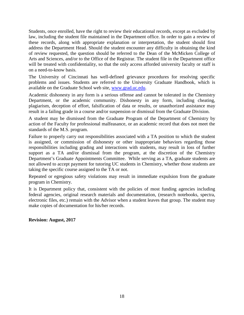Students, once enrolled, have the right to review their educational records, except as excluded by law, including the student file maintained in the Department office. In order to gain a review of these records, along with appropriate explanation or interpretation, the student should first address the Department Head. Should the student encounter any difficulty in obtaining the kind of review requested, the question should be referred to the Dean of the McMicken College of Arts and Sciences, and/or to the Office of the Registrar. The student file in the Department office will be treated with confidentiality, so that the only access afforded university faculty or staff is on a need-to-know basis.

The University of Cincinnati has well-defined grievance procedures for resolving specific problems and issues. Students are referred to the University Graduate Handbook, which is available on the Graduate School web site, [www.grad.uc.edu.](http://www.grad.uc.edu/)

Academic dishonesty in any form is a serious offense and cannot be tolerated in the Chemistry Department, or the academic community. Dishonesty in any form, including cheating, plagiarism, deception of effort, falsification of data or results, or unauthorized assistance may result in a failing grade in a course and/or suspension or dismissal from the Graduate Division.

A student may be dismissed from the Graduate Program of the Department of Chemistry by action of the Faculty for professional malfeasance, or an academic record that does not meet the standards of the M.S. program.

Failure to properly carry out responsibilities associated with a TA position to which the student is assigned, or commission of dishonesty or other inappropriate behaviors regarding those responsibilities including grading and interactions with students, may result in loss of further support as a TA and/or dismissal from the program, at the discretion of the Chemistry Department's Graduate Appointments Committee. While serving as a TA, graduate students are not allowed to accept payment for tutoring UC students in Chemistry, whether those students are taking the specific course assigned to the TA or not.

Repeated or egregious safety violations may result in immediate expulsion from the graduate program in Chemistry.

It is Department policy that, consistent with the policies of most funding agencies including federal agencies, original research materials and documentation, (research notebooks, spectra, electronic files, etc.) remain with the Advisor when a student leaves that group. The student may make copies of documentation for his/her records.

**Revision: August, 2017**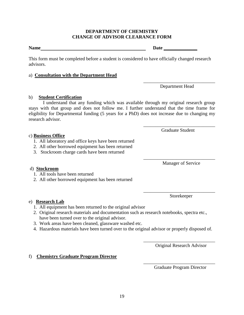#### **DEPARTMENT OF CHEMISTRY CHANGE OF ADVISOR CLEARANCE FORM**

This form must be completed before a student is considered to have officially changed research advisors.

#### a) **Consultation with the Department Head**

Department Head

\_\_\_\_\_\_\_\_\_\_\_\_\_\_\_\_\_\_\_\_\_\_\_\_\_\_\_\_\_\_

#### b) **Student Certification**

I understand that any funding which was available through my original research group stays with that group and does not follow me. I further understand that the time frame for eligibility for Departmental funding (5 years for a PhD) does not increase due to changing my research advisor.

#### c) **Business Office**

- 1. All laboratory and office keys have been returned
- 2. All other borrowed equipment has been returned
- 3. Stockroom charge cards have been returned

\_\_\_\_\_\_\_\_\_\_\_\_\_\_\_\_\_\_\_\_\_\_\_\_\_\_\_\_\_\_ Manager of Service

#### d) **Stockroom**

- 1. All tools have been returned
- 2. All other borrowed equipment has been returned

#### e) **Research Lab**

- 1. All equipment has been returned to the original advisor
- 2. Original research materials and documentation such as research notebooks, spectra etc., have been turned over to the original advisor.
- 3. Work areas have been cleaned, glassware washed etc.
- 4. Hazardous materials have been turned over to the original advisor or properly disposed of.

\_\_\_\_\_\_\_\_\_\_\_\_\_\_\_\_\_\_\_\_\_\_\_\_\_\_\_\_\_\_ Original Research Advisor

#### f) **Chemistry Graduate Program Director**

\_\_\_\_\_\_\_\_\_\_\_\_\_\_\_\_\_\_\_\_\_\_\_\_\_\_\_\_\_\_ Graduate Program Director

Graduate Student

\_\_\_\_\_\_\_\_\_\_\_\_\_\_\_\_\_\_\_\_\_\_\_\_\_\_\_\_\_\_

\_\_\_\_\_\_\_\_\_\_\_\_\_\_\_\_\_\_\_\_\_\_\_\_\_\_\_\_\_\_ Storekeeper

Name Date **Date**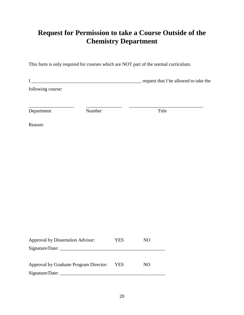### **Request for Permission to take a Course Outside of the Chemistry Department**

This form is only required for courses which are NOT part of the normal curriculum.

|                   |        | request that I be allowed to take the |
|-------------------|--------|---------------------------------------|
| following course: |        |                                       |
| Department        | Number | Title                                 |
| Reason:           |        |                                       |

| <b>Approval by Dissertation Advisor:</b> | YES  | NO. |
|------------------------------------------|------|-----|
| Signature/Date:                          |      |     |
|                                          |      |     |
| Approval by Graduate Program Director:   | YES. | NO. |
| Signature/Date:                          |      |     |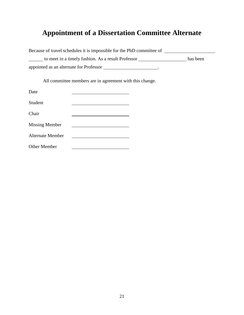# **Appointment of a Dissertation Committee Alternate**

| Because of travel schedules it is impossible for the PhD committee of |          |
|-----------------------------------------------------------------------|----------|
| to meet in a timely fashion. As a result Professor                    | has been |
| appointed as an alternate for Professor                               |          |

All committee members are in agreement with this change.

| Date                    |  |
|-------------------------|--|
| Student                 |  |
| Chair                   |  |
| <b>Missing Member</b>   |  |
| <b>Alternate Member</b> |  |
| <b>Other Member</b>     |  |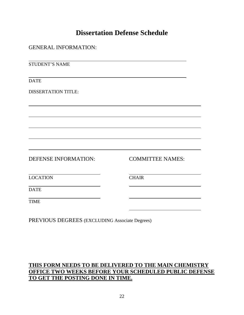### **Dissertation Defense Schedule**

| <b>GENERAL INFORMATION:</b> |                         |
|-----------------------------|-------------------------|
| <b>STUDENT'S NAME</b>       |                         |
| <b>DATE</b>                 |                         |
| <b>DISSERTATION TITLE:</b>  |                         |
|                             |                         |
|                             |                         |
|                             |                         |
| DEFENSE INFORMATION:        | <b>COMMITTEE NAMES:</b> |
| <b>LOCATION</b>             | <b>CHAIR</b>            |
| <b>DATE</b>                 |                         |
| <b>TIME</b>                 |                         |
|                             |                         |

PREVIOUS DEGREES (EXCLUDING Associate Degrees)

### **THIS FORM NEEDS TO BE DELIVERED TO THE MAIN CHEMISTRY OFFICE TWO WEEKS BEFORE YOUR SCHEDULED PUBLIC DEFENSE TO GET THE POSTING DONE IN TIME.**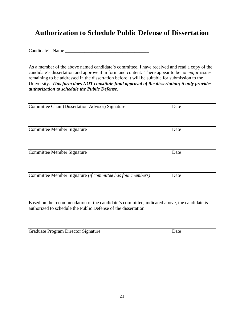### **Authorization to Schedule Public Defense of Dissertation**

Candidate's Name

As a member of the above named candidate's committee, I have received and read a copy of the candidate's dissertation and approve it in form and content. There appear to be no *major* issues remaining to be addressed in the dissertation before it will be suitable for submission to the University. *This form does NOT constitute final approval of the dissertation; it only provides authorization to schedule the Public Defense.*

| <b>Committee Chair (Dissertation Advisor) Signature</b>    | Date |
|------------------------------------------------------------|------|
| Committee Member Signature                                 | Date |
| Committee Member Signature                                 | Date |
| Committee Member Signature (if committee has four members) | Date |

Based on the recommendation of the candidate's committee, indicated above, the candidate is authorized to schedule the Public Defense of the dissertation.

Graduate Program Director Signature Date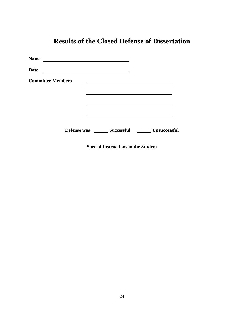| <b>Name</b>              | <u> 1989 - Andrea Andrew Maria (h. 1989).</u> |                                                        |  |
|--------------------------|-----------------------------------------------|--------------------------------------------------------|--|
| <b>Date</b>              |                                               |                                                        |  |
| <b>Committee Members</b> |                                               |                                                        |  |
|                          |                                               |                                                        |  |
|                          |                                               |                                                        |  |
|                          |                                               |                                                        |  |
|                          |                                               | Defense was ________ Successful _________ Unsuccessful |  |
|                          |                                               | <b>Special Instructions to the Student</b>             |  |

### **Results of the Closed Defense of Dissertation**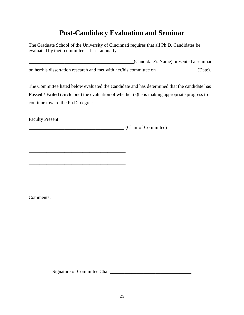### **Post-Candidacy Evaluation and Seminar**

The Graduate School of the University of Cincinnati requires that all Ph.D. Candidates be evaluated by their committee at least annually.

\_\_\_\_\_\_\_\_\_\_\_\_\_\_\_\_\_\_\_\_\_\_\_\_\_\_\_\_\_\_\_\_\_\_\_\_\_\_\_\_\_\_\_\_(Candidate's Name) presented a seminar on her/his dissertation research and met with her/his committee on \_\_\_\_\_\_\_\_\_\_\_\_\_\_\_\_\_(Date).

The Committee listed below evaluated the Candidate and has determined that the candidate has **Passed / Failed** (circle one) the evaluation of whether (s)he is making appropriate progress to continue toward the Ph.D. degree.

Faculty Present:

\_\_\_\_\_\_\_\_\_\_\_\_\_\_\_\_\_\_\_\_\_\_\_\_\_\_\_

\_\_\_\_\_\_\_\_\_\_\_\_\_\_\_\_\_\_\_\_\_\_\_\_\_\_\_

\_\_\_\_\_\_\_\_\_\_\_\_\_\_\_\_\_\_\_\_\_\_\_\_\_\_\_

\_\_\_\_\_\_\_\_\_\_\_\_\_\_\_\_\_\_\_\_\_\_\_\_\_\_\_\_\_\_\_\_\_\_\_\_\_\_\_\_ (Chair of Committee)

Comments:

Signature of Committee Chair\_\_\_\_\_\_\_\_\_\_\_\_\_\_\_\_\_\_\_\_\_\_\_\_\_\_\_\_\_\_\_\_\_\_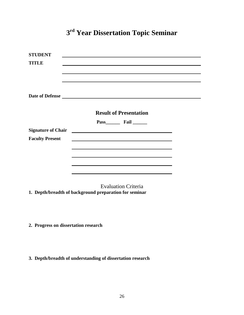# **3rd Year Dissertation Topic Seminar**

| <b>STUDENT</b>            |                                                                                  |  |
|---------------------------|----------------------------------------------------------------------------------|--|
| TITLE                     |                                                                                  |  |
|                           | ,我们也不会有什么。""我们的人,我们也不会有什么?""我们的人,我们也不会有什么?""我们的人,我们也不会有什么?""我们的人,我们也不会有什么?""我们的人 |  |
|                           |                                                                                  |  |
|                           |                                                                                  |  |
|                           |                                                                                  |  |
|                           |                                                                                  |  |
|                           | <b>Result of Presentation</b>                                                    |  |
|                           | Pass Fail                                                                        |  |
| <b>Signature of Chair</b> | <u> 1980 - Jan Barnett, fransk politik (d. 1980)</u>                             |  |
| <b>Faculty Present</b>    |                                                                                  |  |
|                           |                                                                                  |  |
|                           |                                                                                  |  |
|                           |                                                                                  |  |
|                           |                                                                                  |  |
|                           |                                                                                  |  |

Evaluation Criteria **1. Depth/breadth of background preparation for seminar**

- **2. Progress on dissertation research**
- **3. Depth/breadth of understanding of dissertation research**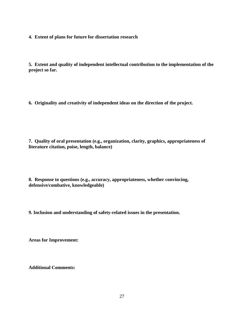**4. Extent of plans for future for dissertation research**

**5. Extent and quality of independent intellectual contribution to the implementation of the project so far.**

**6. Originality and creativity of independent ideas on the direction of the project.**

**7. Quality of oral presentation (e.g., organization, clarity, graphics, appropriateness of literature citation, poise, length, balance)**

**8. Response to questions (e.g., accuracy, appropriateness, whether convincing, defensive/combative, knowledgeable)**

**9. Inclusion and understanding of safety-related issues in the presentation.**

**Areas for Improvement:**

**Additional Comments:**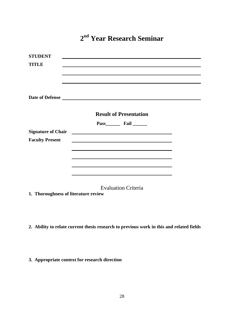**2nd Year Research Seminar**

| <b>STUDENT</b>            |                                                                                                                      |  |
|---------------------------|----------------------------------------------------------------------------------------------------------------------|--|
| TITLE                     | <u> 1989 - Johann John Stone, markin sanadi amerikan bahasa dalam kemasana dalam kemasana dalam kemasana dalam k</u> |  |
|                           |                                                                                                                      |  |
|                           |                                                                                                                      |  |
|                           |                                                                                                                      |  |
|                           | Date of Defense                                                                                                      |  |
|                           |                                                                                                                      |  |
|                           | <b>Result of Presentation</b>                                                                                        |  |
|                           | Pass Fail                                                                                                            |  |
| <b>Signature of Chair</b> |                                                                                                                      |  |
| <b>Faculty Present</b>    |                                                                                                                      |  |
|                           |                                                                                                                      |  |
|                           |                                                                                                                      |  |
|                           | <u> 1989 - Johann Stoff, amerikansk politiker (* 1908)</u>                                                           |  |
|                           |                                                                                                                      |  |
|                           |                                                                                                                      |  |
|                           | <b>Evaluation Criteria</b>                                                                                           |  |

**1. Thoroughness of literature review**

- **2. Ability to relate current thesis research to previous work in this and related fields**
- **3. Appropriate context for research direction**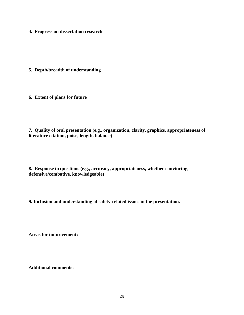**4. Progress on dissertation research**

**5. Depth/breadth of understanding**

**6. Extent of plans for future**

**7. Quality of oral presentation (e.g., organization, clarity, graphics, appropriateness of literature citation, poise, length, balance)**

**8. Response to questions (e.g., accuracy, appropriateness, whether convincing, defensive/combative, knowledgeable)**

**9. Inclusion and understanding of safety-related issues in the presentation.**

**Areas for improvement:**

**Additional comments:**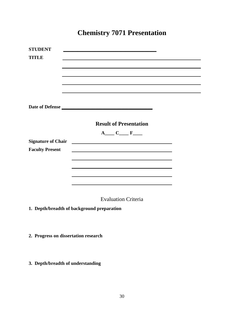## **Chemistry 7071 Presentation**

| <b>STUDENT</b>            |                                                                                                                       |
|---------------------------|-----------------------------------------------------------------------------------------------------------------------|
| <b>TITLE</b>              |                                                                                                                       |
|                           |                                                                                                                       |
|                           |                                                                                                                       |
|                           |                                                                                                                       |
|                           |                                                                                                                       |
|                           |                                                                                                                       |
|                           |                                                                                                                       |
|                           | Date of Defense                                                                                                       |
|                           |                                                                                                                       |
|                           |                                                                                                                       |
|                           | <b>Result of Presentation</b>                                                                                         |
|                           | $A \_ C \_ F \_$                                                                                                      |
| <b>Signature of Chair</b> | <u> 1989 - Johann Barbara, martin amerikan basal dan berasal dan berasal dalam basal dalam basal dalam basal dala</u> |
| <b>Faculty Present</b>    |                                                                                                                       |
|                           | <u> 1989 - Andrea Santa Andrea Andrea Andrea Andrea Andrea Andrea Andrea Andrea Andrea Andrea Andrea Andrea Andr</u>  |
|                           |                                                                                                                       |
|                           |                                                                                                                       |
|                           | <u> 1989 - Johann Stoff, amerikansk politiker (* 1908)</u>                                                            |
|                           |                                                                                                                       |

Evaluation Criteria

**1. Depth/breadth of background preparation** 

- **2. Progress on dissertation research**
- **3. Depth/breadth of understanding**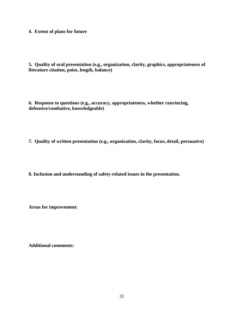**4. Extent of plans for future**

**5. Quality of oral presentation (e.g., organization, clarity, graphics, appropriateness of literature citation, poise, length, balance)**

**6. Response to questions (e.g., accuracy, appropriateness, whether convincing, defensive/combative, knowledgeable)**

**7. Quality of written presentation (e.g., organization, clarity, focus, detail, persuasive)**

**8. Inclusion and understanding of safety-related issues in the presentation.**

**Areas for improvement**:

**Additional comments:**